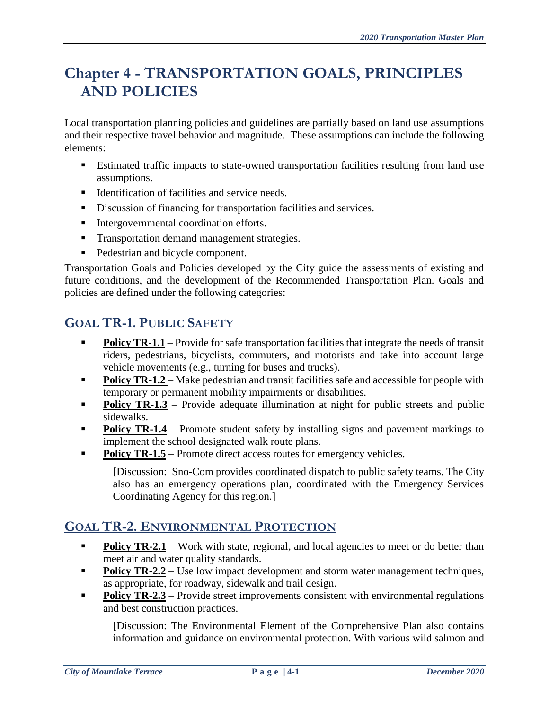# **Chapter 4 - TRANSPORTATION GOALS, PRINCIPLES AND POLICIES**

Local transportation planning policies and guidelines are partially based on land use assumptions and their respective travel behavior and magnitude. These assumptions can include the following elements:

- Estimated traffic impacts to state-owned transportation facilities resulting from land use assumptions.
- Identification of facilities and service needs.
- Discussion of financing for transportation facilities and services.
- **Intergovernmental coordination efforts.**
- **Transportation demand management strategies.**
- Pedestrian and bicycle component.

Transportation Goals and Policies developed by the City guide the assessments of existing and future conditions, and the development of the Recommended Transportation Plan. Goals and policies are defined under the following categories:

# **GOAL TR-1. PUBLIC SAFETY**

- **Policy TR-1.1** Provide for safe transportation facilities that integrate the needs of transit riders, pedestrians, bicyclists, commuters, and motorists and take into account large vehicle movements (e.g., turning for buses and trucks).
- **Policy TR-1.2** Make pedestrian and transit facilities safe and accessible for people with temporary or permanent mobility impairments or disabilities.
- **Policy TR-1.3** Provide adequate illumination at night for public streets and public sidewalks.
- **Policy TR-1.4** Promote student safety by installing signs and pavement markings to implement the school designated walk route plans.
- **Policy TR-1.5** Promote direct access routes for emergency vehicles.

[Discussion: Sno-Com provides coordinated dispatch to public safety teams. The City also has an emergency operations plan, coordinated with the Emergency Services Coordinating Agency for this region.]

#### **GOAL TR-2. ENVIRONMENTAL PROTECTION**

- **Policy TR-2.1** Work with state, regional, and local agencies to meet or do better than meet air and water quality standards.
- **Policy TR-2.2** Use low impact development and storm water management techniques, as appropriate, for roadway, sidewalk and trail design.
- **Policy TR-2.3** Provide street improvements consistent with environmental regulations and best construction practices.

[Discussion: The Environmental Element of the Comprehensive Plan also contains information and guidance on environmental protection. With various wild salmon and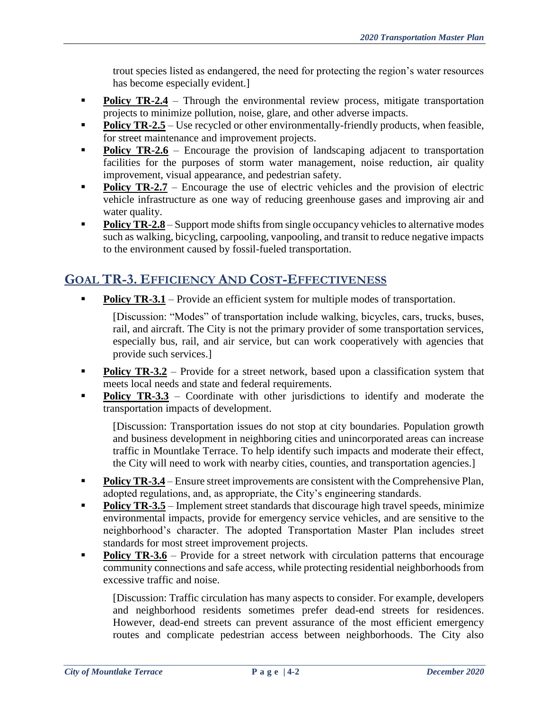trout species listed as endangered, the need for protecting the region's water resources has become especially evident.]

- **Policy TR-2.4** Through the environmental review process, mitigate transportation projects to minimize pollution, noise, glare, and other adverse impacts.
- **Policy TR-2.5** Use recycled or other environmentally-friendly products, when feasible, for street maintenance and improvement projects.
- **Policy TR-2.6** Encourage the provision of landscaping adjacent to transportation facilities for the purposes of storm water management, noise reduction, air quality improvement, visual appearance, and pedestrian safety.
- **Policy TR-2.7** Encourage the use of electric vehicles and the provision of electric vehicle infrastructure as one way of reducing greenhouse gases and improving air and water quality.
- **Policy TR-2.8** Support mode shifts from single occupancy vehicles to alternative modes such as walking, bicycling, carpooling, vanpooling, and transit to reduce negative impacts to the environment caused by fossil-fueled transportation.

#### **GOAL TR-3. EFFICIENCY AND COST-EFFECTIVENESS**

**Policy TR-3.1** – Provide an efficient system for multiple modes of transportation.

[Discussion: "Modes" of transportation include walking, bicycles, cars, trucks, buses, rail, and aircraft. The City is not the primary provider of some transportation services, especially bus, rail, and air service, but can work cooperatively with agencies that provide such services.]

- **Policy TR-3.2** Provide for a street network, based upon a classification system that meets local needs and state and federal requirements.
- **Policy TR-3.3** Coordinate with other jurisdictions to identify and moderate the transportation impacts of development.

[Discussion: Transportation issues do not stop at city boundaries. Population growth and business development in neighboring cities and unincorporated areas can increase traffic in Mountlake Terrace. To help identify such impacts and moderate their effect, the City will need to work with nearby cities, counties, and transportation agencies.]

- **Policy TR-3.4** Ensure street improvements are consistent with the Comprehensive Plan, adopted regulations, and, as appropriate, the City's engineering standards.
- **Policy TR-3.5** Implement street standards that discourage high travel speeds, minimize environmental impacts, provide for emergency service vehicles, and are sensitive to the neighborhood's character. The adopted Transportation Master Plan includes street standards for most street improvement projects.
- **Policy TR-3.6** Provide for a street network with circulation patterns that encourage community connections and safe access, while protecting residential neighborhoods from excessive traffic and noise.

[Discussion: Traffic circulation has many aspects to consider. For example, developers and neighborhood residents sometimes prefer dead-end streets for residences. However, dead-end streets can prevent assurance of the most efficient emergency routes and complicate pedestrian access between neighborhoods. The City also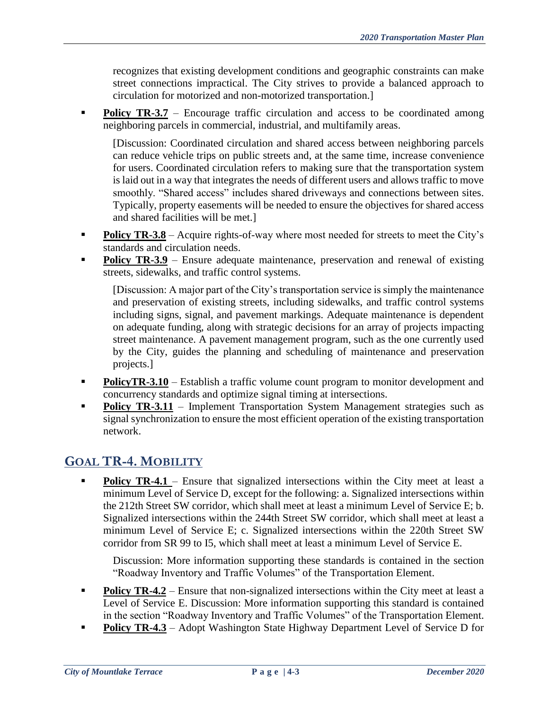recognizes that existing development conditions and geographic constraints can make street connections impractical. The City strives to provide a balanced approach to circulation for motorized and non-motorized transportation.]

**Policy TR-3.7** – Encourage traffic circulation and access to be coordinated among neighboring parcels in commercial, industrial, and multifamily areas.

[Discussion: Coordinated circulation and shared access between neighboring parcels can reduce vehicle trips on public streets and, at the same time, increase convenience for users. Coordinated circulation refers to making sure that the transportation system is laid out in a way that integrates the needs of different users and allows traffic to move smoothly. "Shared access" includes shared driveways and connections between sites. Typically, property easements will be needed to ensure the objectives for shared access and shared facilities will be met.]

- **Policy TR-3.8** Acquire rights-of-way where most needed for streets to meet the City's standards and circulation needs.
- **Policy TR-3.9** Ensure adequate maintenance, preservation and renewal of existing streets, sidewalks, and traffic control systems.

[Discussion: A major part of the City's transportation service is simply the maintenance and preservation of existing streets, including sidewalks, and traffic control systems including signs, signal, and pavement markings. Adequate maintenance is dependent on adequate funding, along with strategic decisions for an array of projects impacting street maintenance. A pavement management program, such as the one currently used by the City, guides the planning and scheduling of maintenance and preservation projects.]

- **PolicyTR-3.10** Establish a traffic volume count program to monitor development and concurrency standards and optimize signal timing at intersections.
- **Policy TR-3.11** Implement Transportation System Management strategies such as signal synchronization to ensure the most efficient operation of the existing transportation network.

# **GOAL TR-4. MOBILITY**

**Policy TR-4.1** – Ensure that signalized intersections within the City meet at least a minimum Level of Service D, except for the following: a. Signalized intersections within the 212th Street SW corridor, which shall meet at least a minimum Level of Service E; b. Signalized intersections within the 244th Street SW corridor, which shall meet at least a minimum Level of Service E; c. Signalized intersections within the 220th Street SW corridor from SR 99 to I5, which shall meet at least a minimum Level of Service E.

Discussion: More information supporting these standards is contained in the section "Roadway Inventory and Traffic Volumes" of the Transportation Element.

- **Policy TR-4.2** Ensure that non-signalized intersections within the City meet at least a Level of Service E. Discussion: More information supporting this standard is contained in the section "Roadway Inventory and Traffic Volumes" of the Transportation Element.
- **Policy TR-4.3** Adopt Washington State Highway Department Level of Service D for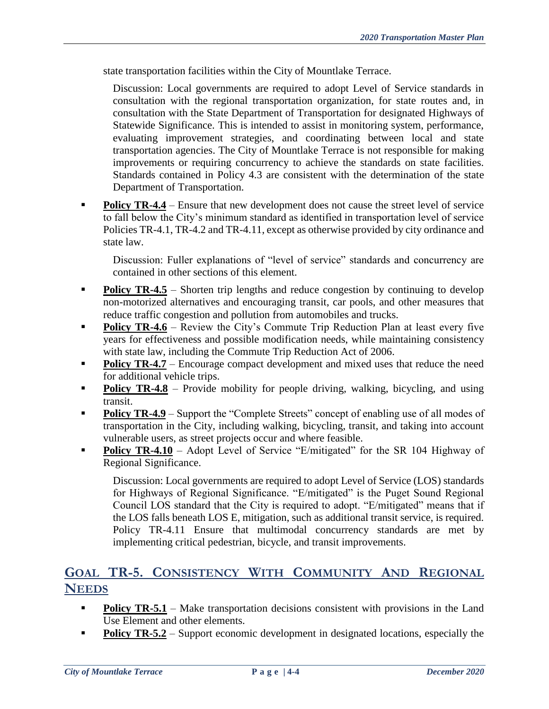state transportation facilities within the City of Mountlake Terrace.

Discussion: Local governments are required to adopt Level of Service standards in consultation with the regional transportation organization, for state routes and, in consultation with the State Department of Transportation for designated Highways of Statewide Significance. This is intended to assist in monitoring system, performance, evaluating improvement strategies, and coordinating between local and state transportation agencies. The City of Mountlake Terrace is not responsible for making improvements or requiring concurrency to achieve the standards on state facilities. Standards contained in Policy 4.3 are consistent with the determination of the state Department of Transportation.

**Policy TR-4.4** – Ensure that new development does not cause the street level of service to fall below the City's minimum standard as identified in transportation level of service Policies TR-4.1, TR-4.2 and TR-4.11, except as otherwise provided by city ordinance and state law.

Discussion: Fuller explanations of "level of service" standards and concurrency are contained in other sections of this element.

- **Policy TR-4.5** Shorten trip lengths and reduce congestion by continuing to develop non-motorized alternatives and encouraging transit, car pools, and other measures that reduce traffic congestion and pollution from automobiles and trucks.
- **Policy TR-4.6** Review the City's Commute Trip Reduction Plan at least every five years for effectiveness and possible modification needs, while maintaining consistency with state law, including the Commute Trip Reduction Act of 2006.
- **Policy TR-4.7** Encourage compact development and mixed uses that reduce the need for additional vehicle trips.
- **Policy TR-4.8** Provide mobility for people driving, walking, bicycling, and using transit.
- **Policy TR-4.9** Support the "Complete Streets" concept of enabling use of all modes of transportation in the City, including walking, bicycling, transit, and taking into account vulnerable users, as street projects occur and where feasible.
- **Policy TR-4.10** Adopt Level of Service "E/mitigated" for the SR 104 Highway of Regional Significance.

Discussion: Local governments are required to adopt Level of Service (LOS) standards for Highways of Regional Significance. "E/mitigated" is the Puget Sound Regional Council LOS standard that the City is required to adopt. "E/mitigated" means that if the LOS falls beneath LOS E, mitigation, such as additional transit service, is required. Policy TR-4.11 Ensure that multimodal concurrency standards are met by implementing critical pedestrian, bicycle, and transit improvements.

#### **GOAL TR-5. CONSISTENCY WITH COMMUNITY AND REGIONAL NEEDS**

- **Policy TR-5.1** Make transportation decisions consistent with provisions in the Land Use Element and other elements.
- **Policy TR-5.2** Support economic development in designated locations, especially the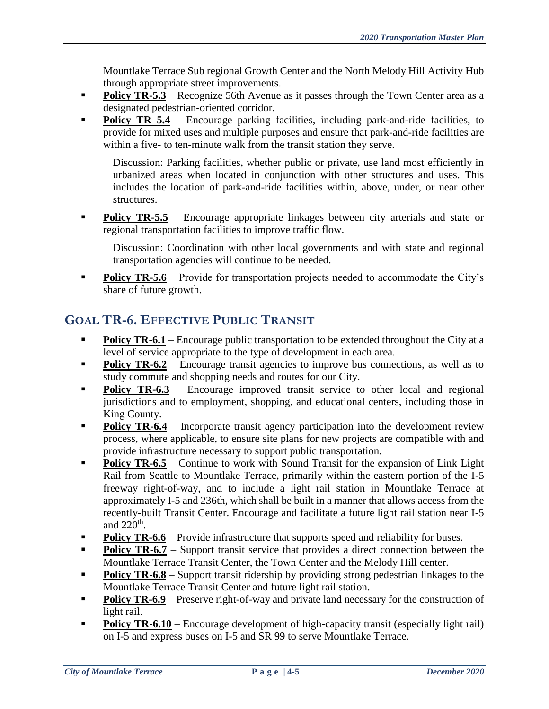Mountlake Terrace Sub regional Growth Center and the North Melody Hill Activity Hub through appropriate street improvements.

- **Policy TR-5.3** Recognize 56th Avenue as it passes through the Town Center area as a designated pedestrian-oriented corridor.
- **Policy TR 5.4** Encourage parking facilities, including park-and-ride facilities, to provide for mixed uses and multiple purposes and ensure that park-and-ride facilities are within a five- to ten-minute walk from the transit station they serve.

Discussion: Parking facilities, whether public or private, use land most efficiently in urbanized areas when located in conjunction with other structures and uses. This includes the location of park-and-ride facilities within, above, under, or near other structures.

**Policy TR-5.5** – Encourage appropriate linkages between city arterials and state or regional transportation facilities to improve traffic flow.

Discussion: Coordination with other local governments and with state and regional transportation agencies will continue to be needed.

**Policy TR-5.6** – Provide for transportation projects needed to accommodate the City's share of future growth.

#### **GOAL TR-6. EFFECTIVE PUBLIC TRANSIT**

- **Policy TR-6.1** Encourage public transportation to be extended throughout the City at a level of service appropriate to the type of development in each area.
- **Policy TR-6.2** Encourage transit agencies to improve bus connections, as well as to study commute and shopping needs and routes for our City.
- **Policy TR-6.3** Encourage improved transit service to other local and regional jurisdictions and to employment, shopping, and educational centers, including those in King County.
- **Policy TR-6.4** Incorporate transit agency participation into the development review process, where applicable, to ensure site plans for new projects are compatible with and provide infrastructure necessary to support public transportation.
- **Policy TR-6.5** Continue to work with Sound Transit for the expansion of Link Light Rail from Seattle to Mountlake Terrace, primarily within the eastern portion of the I-5 freeway right-of-way, and to include a light rail station in Mountlake Terrace at approximately I-5 and 236th, which shall be built in a manner that allows access from the recently-built Transit Center. Encourage and facilitate a future light rail station near I-5 and  $220<sup>th</sup>$ .
- **Policy TR-6.6** Provide infrastructure that supports speed and reliability for buses.
- **Policy TR-6.7** Support transit service that provides a direct connection between the Mountlake Terrace Transit Center, the Town Center and the Melody Hill center.
- **Policy TR-6.8** Support transit ridership by providing strong pedestrian linkages to the Mountlake Terrace Transit Center and future light rail station.
- **Policy TR-6.9** Preserve right-of-way and private land necessary for the construction of light rail.
- **Policy TR-6.10** Encourage development of high-capacity transit (especially light rail) on I-5 and express buses on I-5 and SR 99 to serve Mountlake Terrace.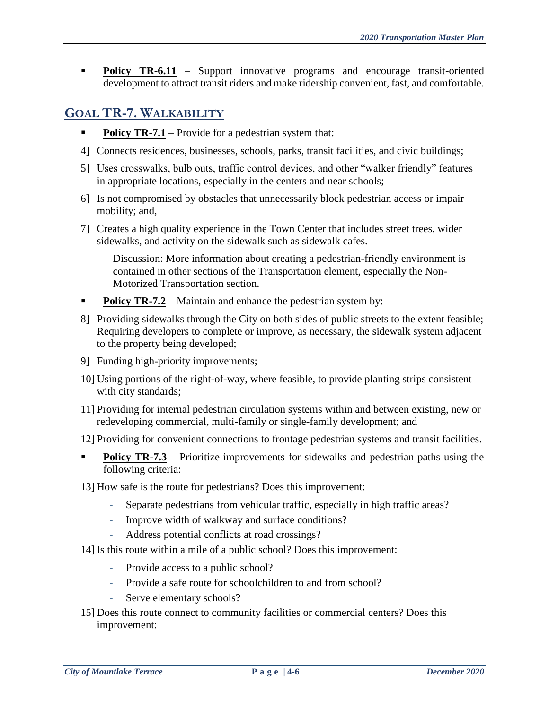**Policy TR-6.11** – Support innovative programs and encourage transit-oriented development to attract transit riders and make ridership convenient, fast, and comfortable.

#### **GOAL TR-7. WALKABILITY**

- **Policy TR-7.1** Provide for a pedestrian system that:
- 4] Connects residences, businesses, schools, parks, transit facilities, and civic buildings;
- 5] Uses crosswalks, bulb outs, traffic control devices, and other "walker friendly" features in appropriate locations, especially in the centers and near schools;
- 6] Is not compromised by obstacles that unnecessarily block pedestrian access or impair mobility; and,
- 7] Creates a high quality experience in the Town Center that includes street trees, wider sidewalks, and activity on the sidewalk such as sidewalk cafes.

Discussion: More information about creating a pedestrian-friendly environment is contained in other sections of the Transportation element, especially the Non-Motorized Transportation section.

- **Policy TR-7.2** Maintain and enhance the pedestrian system by:
- 8] Providing sidewalks through the City on both sides of public streets to the extent feasible; Requiring developers to complete or improve, as necessary, the sidewalk system adjacent to the property being developed;
- 9] Funding high-priority improvements;
- 10] Using portions of the right-of-way, where feasible, to provide planting strips consistent with city standards;
- 11] Providing for internal pedestrian circulation systems within and between existing, new or redeveloping commercial, multi-family or single-family development; and
- 12] Providing for convenient connections to frontage pedestrian systems and transit facilities.
- **Policy TR-7.3** Prioritize improvements for sidewalks and pedestrian paths using the following criteria:
- 13] How safe is the route for pedestrians? Does this improvement:
	- Separate pedestrians from vehicular traffic, especially in high traffic areas?
	- Improve width of walkway and surface conditions?
	- Address potential conflicts at road crossings?
- 14] Is this route within a mile of a public school? Does this improvement:
	- Provide access to a public school?
	- Provide a safe route for schoolchildren to and from school?
	- Serve elementary schools?
- 15] Does this route connect to community facilities or commercial centers? Does this improvement: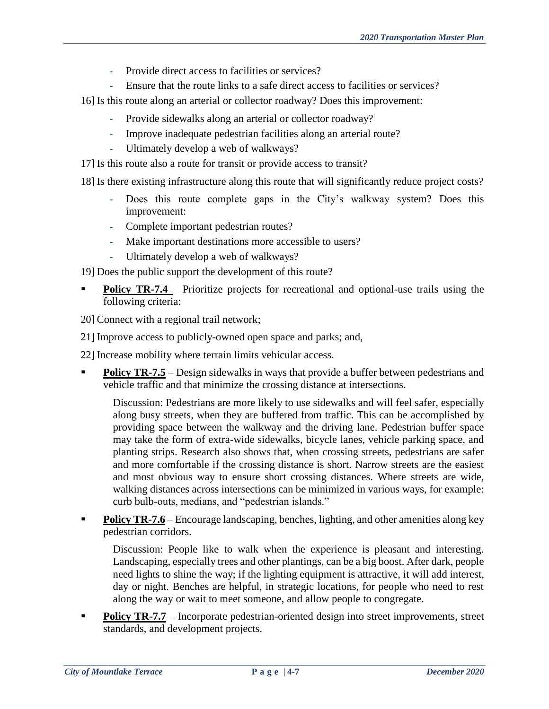- Provide direct access to facilities or services?
- Ensure that the route links to a safe direct access to facilities or services?
- 16] Is this route along an arterial or collector roadway? Does this improvement:
	- Provide sidewalks along an arterial or collector roadway?
	- Improve inadequate pedestrian facilities along an arterial route?
	- Ultimately develop a web of walkways?
- 17] Is this route also a route for transit or provide access to transit?
- 18] Is there existing infrastructure along this route that will significantly reduce project costs?
	- Does this route complete gaps in the City's walkway system? Does this improvement:
	- Complete important pedestrian routes?
	- Make important destinations more accessible to users?
	- Ultimately develop a web of walkways?

19] Does the public support the development of this route?

- **Policy TR-7.4** Prioritize projects for recreational and optional-use trails using the following criteria:
- 20] Connect with a regional trail network;
- 21] Improve access to publicly-owned open space and parks; and,
- 22] Increase mobility where terrain limits vehicular access.
- **Policy TR-7.5** Design sidewalks in ways that provide a buffer between pedestrians and vehicle traffic and that minimize the crossing distance at intersections.

Discussion: Pedestrians are more likely to use sidewalks and will feel safer, especially along busy streets, when they are buffered from traffic. This can be accomplished by providing space between the walkway and the driving lane. Pedestrian buffer space may take the form of extra-wide sidewalks, bicycle lanes, vehicle parking space, and planting strips. Research also shows that, when crossing streets, pedestrians are safer and more comfortable if the crossing distance is short. Narrow streets are the easiest and most obvious way to ensure short crossing distances. Where streets are wide, walking distances across intersections can be minimized in various ways, for example: curb bulb-outs, medians, and "pedestrian islands."

**Policy TR-7.6** – Encourage landscaping, benches, lighting, and other amenities along key pedestrian corridors.

Discussion: People like to walk when the experience is pleasant and interesting. Landscaping, especially trees and other plantings, can be a big boost. After dark, people need lights to shine the way; if the lighting equipment is attractive, it will add interest, day or night. Benches are helpful, in strategic locations, for people who need to rest along the way or wait to meet someone, and allow people to congregate.

**Policy TR-7.7** – Incorporate pedestrian-oriented design into street improvements, street standards, and development projects.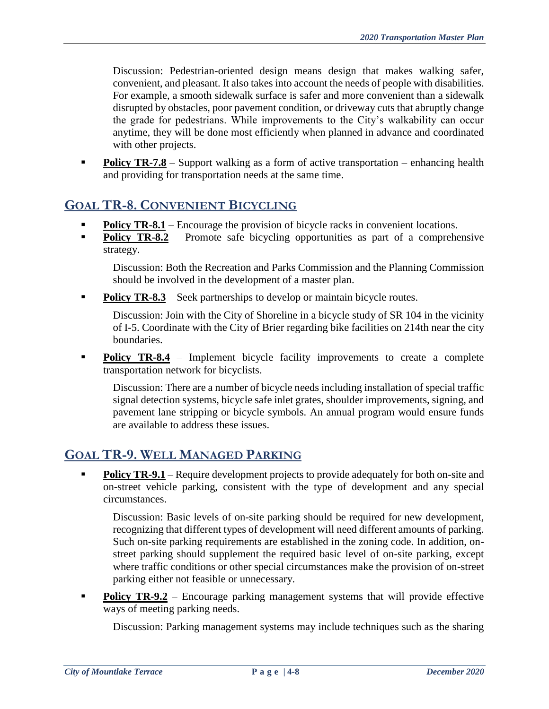Discussion: Pedestrian-oriented design means design that makes walking safer, convenient, and pleasant. It also takes into account the needs of people with disabilities. For example, a smooth sidewalk surface is safer and more convenient than a sidewalk disrupted by obstacles, poor pavement condition, or driveway cuts that abruptly change the grade for pedestrians. While improvements to the City's walkability can occur anytime, they will be done most efficiently when planned in advance and coordinated with other projects.

**Policy TR-7.8** – Support walking as a form of active transportation – enhancing health and providing for transportation needs at the same time.

# **GOAL TR-8. CONVENIENT BICYCLING**

- **Policy TR-8.1** Encourage the provision of bicycle racks in convenient locations.
- **Policy TR-8.2** Promote safe bicycling opportunities as part of a comprehensive strategy.

Discussion: Both the Recreation and Parks Commission and the Planning Commission should be involved in the development of a master plan.

**Policy TR-8.3** – Seek partnerships to develop or maintain bicycle routes.

Discussion: Join with the City of Shoreline in a bicycle study of SR 104 in the vicinity of I-5. Coordinate with the City of Brier regarding bike facilities on 214th near the city boundaries.

**Policy TR-8.4** – Implement bicycle facility improvements to create a complete transportation network for bicyclists.

Discussion: There are a number of bicycle needs including installation of special traffic signal detection systems, bicycle safe inlet grates, shoulder improvements, signing, and pavement lane stripping or bicycle symbols. An annual program would ensure funds are available to address these issues.

# **GOAL TR-9. WELL MANAGED PARKING**

**Policy TR-9.1** – Require development projects to provide adequately for both on-site and on-street vehicle parking, consistent with the type of development and any special circumstances.

Discussion: Basic levels of on-site parking should be required for new development, recognizing that different types of development will need different amounts of parking. Such on-site parking requirements are established in the zoning code. In addition, onstreet parking should supplement the required basic level of on-site parking, except where traffic conditions or other special circumstances make the provision of on-street parking either not feasible or unnecessary.

**Policy TR-9.2** – Encourage parking management systems that will provide effective ways of meeting parking needs.

Discussion: Parking management systems may include techniques such as the sharing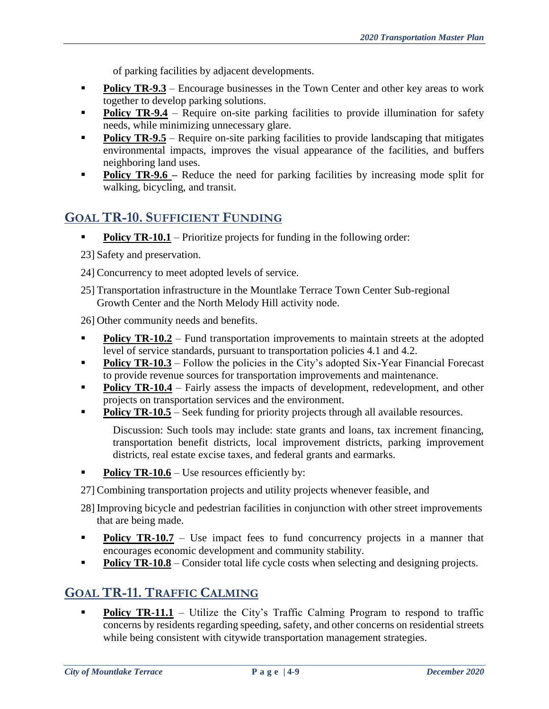of parking facilities by adjacent developments.

- **Policy TR-9.3** Encourage businesses in the Town Center and other key areas to work together to develop parking solutions.
- **Policy TR-9.4** Require on-site parking facilities to provide illumination for safety needs, while minimizing unnecessary glare.
- **Policy TR-9.5** Require on-site parking facilities to provide landscaping that mitigates environmental impacts, improves the visual appearance of the facilities, and buffers neighboring land uses.
- **Policy TR-9.6** Reduce the need for parking facilities by increasing mode split for walking, bicycling, and transit.

# **GOAL TR-10. SUFFICIENT FUNDING**

- **Policy TR-10.1** Prioritize projects for funding in the following order:
- 23] Safety and preservation.
- 24] Concurrency to meet adopted levels of service.
- 25] Transportation infrastructure in the Mountlake Terrace Town Center Sub-regional Growth Center and the North Melody Hill activity node.

26] Other community needs and benefits.

- **Policy TR-10.2** Fund transportation improvements to maintain streets at the adopted level of service standards, pursuant to transportation policies 4.1 and 4.2.
- **Policy TR-10.3** Follow the policies in the City's adopted Six-Year Financial Forecast to provide revenue sources for transportation improvements and maintenance.
- **Policy TR-10.4** Fairly assess the impacts of development, redevelopment, and other projects on transportation services and the environment.
- **Policy TR-10.5** Seek funding for priority projects through all available resources.

Discussion: Such tools may include: state grants and loans, tax increment financing, transportation benefit districts, local improvement districts, parking improvement districts, real estate excise taxes, and federal grants and earmarks.

**Policy TR-10.6** – Use resources efficiently by:

27] Combining transportation projects and utility projects whenever feasible, and

- 28] Improving bicycle and pedestrian facilities in conjunction with other street improvements that are being made.
- **Policy TR-10.7** Use impact fees to fund concurrency projects in a manner that encourages economic development and community stability.
- **Policy TR-10.8** Consider total life cycle costs when selecting and designing projects.

# **GOAL TR-11. TRAFFIC CALMING**

**Policy TR-11.1** – Utilize the City's Traffic Calming Program to respond to traffic concerns by residents regarding speeding, safety, and other concerns on residential streets while being consistent with citywide transportation management strategies.